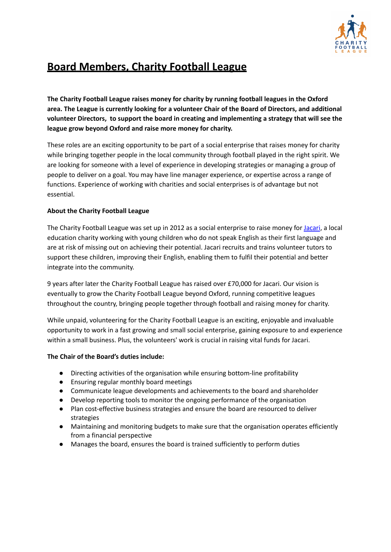

# **Board Members, Charity Football League**

**The Charity Football League raises money for charity by running football leagues in the Oxford area. The League is currently looking for a volunteer Chair of the Board of Directors, and additional volunteer Directors, to support the board in creating and implementing a strategy that will see the league grow beyond Oxford and raise more money for charity.**

These roles are an exciting opportunity to be part of a social enterprise that raises money for charity while bringing together people in the local community through football played in the right spirit. We are looking for someone with a level of experience in developing strategies or managing a group of people to deliver on a goal. You may have line manager experience, or expertise across a range of functions. Experience of working with charities and social enterprises is of advantage but not essential.

# **About the Charity Football League**

The Charity Football League was set up in 2012 as a social enterprise to raise money for [Jacari](https://www.jacari.org/), a local education charity working with young children who do not speak English as their first language and are at risk of missing out on achieving their potential. Jacari recruits and trains volunteer tutors to support these children, improving their English, enabling them to fulfil their potential and better integrate into the community.

9 years after later the Charity Football League has raised over £70,000 for Jacari. Our vision is eventually to grow the Charity Football League beyond Oxford, running competitive leagues throughout the country, bringing people together through football and raising money for charity.

While unpaid, volunteering for the Charity Football League is an exciting, enjoyable and invaluable opportunity to work in a fast growing and small social enterprise, gaining exposure to and experience within a small business. Plus, the volunteers' work is crucial in raising vital funds for Jacari.

# **The Chair of the Board's duties include:**

- Directing activities of the organisation while ensuring bottom-line profitability
- Ensuring regular monthly board meetings
- Communicate league developments and achievements to the board and shareholder
- Develop reporting tools to monitor the ongoing performance of the organisation
- Plan cost-effective business strategies and ensure the board are resourced to deliver strategies
- Maintaining and monitoring budgets to make sure that the organisation operates efficiently from a financial perspective
- Manages the board, ensures the board is trained sufficiently to perform duties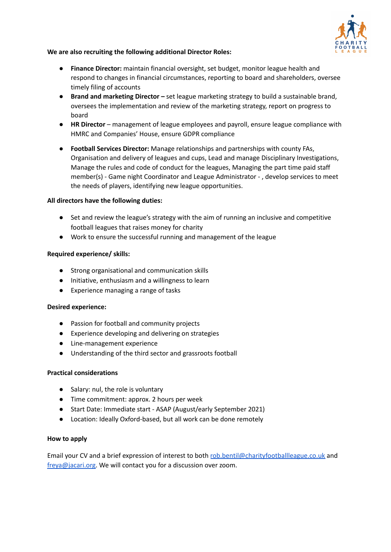

# **We are also recruiting the following additional Director Roles:**

- **● Finance Director:** maintain financial oversight, set budget, monitor league health and respond to changes in financial circumstances, reporting to board and shareholders, oversee timely filing of accounts
- **● Brand and marketing Director –** set league marketing strategy to build a sustainable brand, oversees the implementation and review of the marketing strategy, report on progress to board
- **● HR Director** management of league employees and payroll, ensure league compliance with HMRC and Companies' House, ensure GDPR compliance
- **● Football Services Director:** Manage relationships and partnerships with county FAs, Organisation and delivery of leagues and cups, Lead and manage Disciplinary Investigations, Manage the rules and code of conduct for the leagues, Managing the part time paid staff member(s) - Game night Coordinator and League Administrator - , develop services to meet the needs of players, identifying new league opportunities.

## **All directors have the following duties:**

- Set and review the league's strategy with the aim of running an inclusive and competitive football leagues that raises money for charity
- **●** Work to ensure the successful running and management of the league

## **Required experience/ skills:**

- **●** Strong organisational and communication skills
- **●** Initiative, enthusiasm and a willingness to learn
- **●** Experience managing a range of tasks

## **Desired experience:**

- Passion for football and community projects
- Experience developing and delivering on strategies
- Line-management experience
- Understanding of the third sector and grassroots football

## **Practical considerations**

- Salary: nul, the role is voluntary
- Time commitment: approx. 2 hours per week
- Start Date: Immediate start ASAP (August/early September 2021)
- Location: Ideally Oxford-based, but all work can be done remotely

## **How to apply**

Email your CV and a brief expression of interest to both [rob.bentil@charityfootballleague.co.uk](mailto:rob.bentil@charityfootballleague.co.uk) and [freya@jacari.org.](mailto:freya@jacari.org) We will contact you for a discussion over zoom.